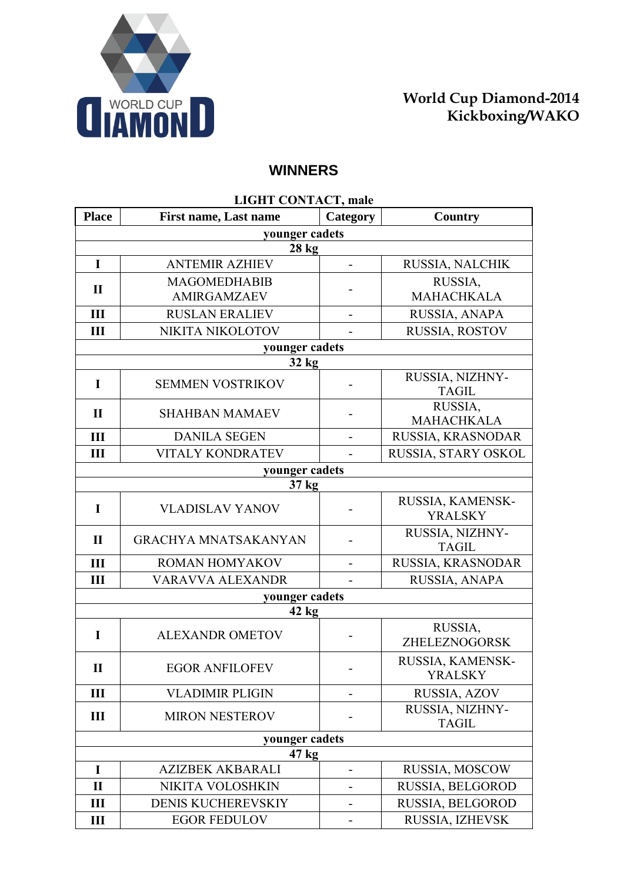

## **WINNERS**

| LIGHT CONTACT, male |                             |                              |                                    |  |
|---------------------|-----------------------------|------------------------------|------------------------------------|--|
| <b>Place</b>        | First name, Last name       | Category                     | Country                            |  |
|                     | younger cadets              |                              |                                    |  |
|                     | <b>28 kg</b>                |                              |                                    |  |
| I                   | <b>ANTEMIR AZHIEV</b>       | $\blacksquare$               | RUSSIA, NALCHIK                    |  |
| $\mathbf{I}$        | <b>MAGOMEDHABIB</b>         |                              | RUSSIA,<br><b>MAHACHKALA</b>       |  |
|                     | <b>AMIRGAMZAEV</b>          |                              |                                    |  |
| III                 | <b>RUSLAN ERALIEV</b>       | $\overline{a}$               | RUSSIA, ANAPA                      |  |
| Ш                   | NIKITA NIKOLOTOV            |                              | RUSSIA, ROSTOV                     |  |
|                     | younger cadets              |                              |                                    |  |
|                     | 32 kg                       |                              |                                    |  |
| I                   | <b>SEMMEN VOSTRIKOV</b>     |                              | RUSSIA, NIZHNY-<br><b>TAGIL</b>    |  |
| $\mathbf{I}$        | <b>SHAHBAN MAMAEV</b>       |                              | RUSSIA,<br><b>MAHACHKALA</b>       |  |
| III                 | <b>DANILA SEGEN</b>         |                              | RUSSIA, KRASNODAR                  |  |
| Ш                   | <b>VITALY KONDRATEV</b>     |                              | RUSSIA, STARY OSKOL                |  |
|                     | younger cadets              |                              |                                    |  |
|                     | 37 kg                       |                              |                                    |  |
| $\mathbf I$         | <b>VLADISLAV YANOV</b>      |                              | RUSSIA, KAMENSK-<br><b>YRALSKY</b> |  |
| $\mathbf{I}$        | <b>GRACHYA MNATSAKANYAN</b> |                              | RUSSIA, NIZHNY-<br><b>TAGIL</b>    |  |
| III                 | ROMAN HOMYAKOV              |                              | RUSSIA, KRASNODAR                  |  |
| Ш                   | VARAVVA ALEXANDR            |                              | RUSSIA, ANAPA                      |  |
| younger cadets      |                             |                              |                                    |  |
|                     | 42 kg                       |                              |                                    |  |
| I                   | <b>ALEXANDR OMETOV</b>      | $\qquad \qquad \blacksquare$ | RUSSIA,<br>ZHELEZNOGORSK           |  |
| $\mathbf{I}$        | <b>EGOR ANFILOFEV</b>       |                              | RUSSIA, KAMENSK-<br><b>YRALSKY</b> |  |
| III                 | <b>VLADIMIR PLIGIN</b>      |                              | RUSSIA, AZOV                       |  |
| Ш                   | <b>MIRON NESTEROV</b>       |                              | RUSSIA, NIZHNY-<br><b>TAGIL</b>    |  |
| younger cadets      |                             |                              |                                    |  |
| 47 <sub>kg</sub>    |                             |                              |                                    |  |
| I                   | <b>AZIZBEK AKBARALI</b>     |                              | RUSSIA, MOSCOW                     |  |
| $\mathbf{I}$        | NIKITA VOLOSHKIN            |                              | RUSSIA, BELGOROD                   |  |
| Ш                   | <b>DENIS KUCHEREVSKIY</b>   |                              | RUSSIA, BELGOROD                   |  |
| III                 | <b>EGOR FEDULOV</b>         |                              | RUSSIA, IZHEVSK                    |  |

## **LIGHT CONTACT, male**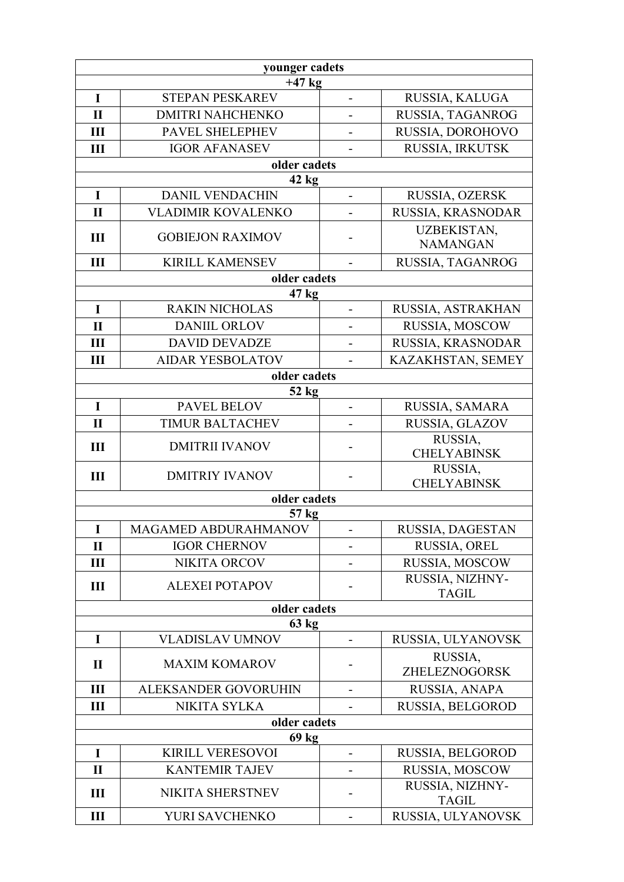| younger cadets   |                                       |                          |                                       |  |
|------------------|---------------------------------------|--------------------------|---------------------------------------|--|
|                  | $+47$ kg                              |                          |                                       |  |
| I                | <b>STEPAN PESKAREV</b>                | $\overline{\phantom{0}}$ | RUSSIA, KALUGA                        |  |
| $\mathbf{I}$     | <b>DMITRI NAHCHENKO</b>               |                          | RUSSIA, TAGANROG                      |  |
| III              | PAVEL SHELEPHEV                       |                          | RUSSIA, DOROHOVO                      |  |
| Ш                | <b>IGOR AFANASEV</b>                  |                          | RUSSIA, IRKUTSK                       |  |
|                  | older cadets                          |                          |                                       |  |
| $\mathbf I$      | 42 kg<br><b>DANIL VENDACHIN</b>       |                          | RUSSIA, OZERSK                        |  |
| $\mathbf{I}$     | <b>VLADIMIR KOVALENKO</b>             |                          | RUSSIA, KRASNODAR                     |  |
|                  |                                       | $\overline{\phantom{0}}$ |                                       |  |
| III              | <b>GOBIEJON RAXIMOV</b>               | -                        | <b>UZBEKISTAN,</b><br><b>NAMANGAN</b> |  |
| III              | <b>KIRILL KAMENSEV</b>                | $\overline{\phantom{a}}$ | RUSSIA, TAGANROG                      |  |
|                  | older cadets                          |                          |                                       |  |
|                  | 47 kg                                 |                          |                                       |  |
| $\mathbf I$      | <b>RAKIN NICHOLAS</b>                 | $\blacksquare$           | RUSSIA, ASTRAKHAN                     |  |
| $\mathbf{I}$     | <b>DANIIL ORLOV</b>                   | $\overline{\phantom{0}}$ | RUSSIA, MOSCOW                        |  |
| III              | <b>DAVID DEVADZE</b>                  |                          | RUSSIA, KRASNODAR                     |  |
| III              | <b>AIDAR YESBOLATOV</b>               |                          | KAZAKHSTAN, SEMEY                     |  |
|                  | older cadets                          |                          |                                       |  |
|                  | $52$ kg                               |                          |                                       |  |
| I                | PAVEL BELOV<br><b>TIMUR BALTACHEV</b> |                          | RUSSIA, SAMARA                        |  |
| $\mathbf{I}$     |                                       | -                        | RUSSIA, GLAZOV<br>RUSSIA,             |  |
| III              | <b>DMITRII IVANOV</b>                 |                          | <b>CHELYABINSK</b>                    |  |
| Ш                | <b>DMITRIY IVANOV</b>                 |                          | RUSSIA,<br><b>CHELYABINSK</b>         |  |
|                  | older cadets                          |                          |                                       |  |
|                  | $57$ kg                               |                          |                                       |  |
| $\mathbf I$      | MAGAMED ABDURAHMANOV                  |                          | RUSSIA, DAGESTAN                      |  |
| $\mathbf{I}$     | <b>IGOR CHERNOV</b>                   |                          | RUSSIA, OREL                          |  |
| $\mathbf{I}$     | <b>NIKITA ORCOV</b>                   |                          | RUSSIA, MOSCOW                        |  |
| $\mathbf{I}$     | <b>ALEXEI POTAPOV</b>                 |                          | RUSSIA, NIZHNY-<br><b>TAGIL</b>       |  |
| older cadets     |                                       |                          |                                       |  |
| $63 \text{ kg}$  |                                       |                          |                                       |  |
| I                | <b>VLADISLAV UMNOV</b>                |                          | RUSSIA, ULYANOVSK                     |  |
| $\mathbf{I}$     | <b>MAXIM KOMAROV</b>                  |                          | RUSSIA,<br>ZHELEZNOGORSK              |  |
| Ш                | ALEKSANDER GOVORUHIN                  |                          | RUSSIA, ANAPA                         |  |
| Ш                | NIKITA SYLKA                          |                          | RUSSIA, BELGOROD                      |  |
| older cadets     |                                       |                          |                                       |  |
| 69 <sub>kg</sub> |                                       |                          |                                       |  |
| I                | <b>KIRILL VERESOVOI</b>               |                          | RUSSIA, BELGOROD                      |  |
| $\mathbf{I}$     | <b>KANTEMIR TAJEV</b>                 | -                        | RUSSIA, MOSCOW                        |  |
| Ш                | NIKITA SHERSTNEV                      |                          | RUSSIA, NIZHNY-<br><b>TAGIL</b>       |  |
| $\mathbf{III}$   | YURI SAVCHENKO                        |                          | RUSSIA, ULYANOVSK                     |  |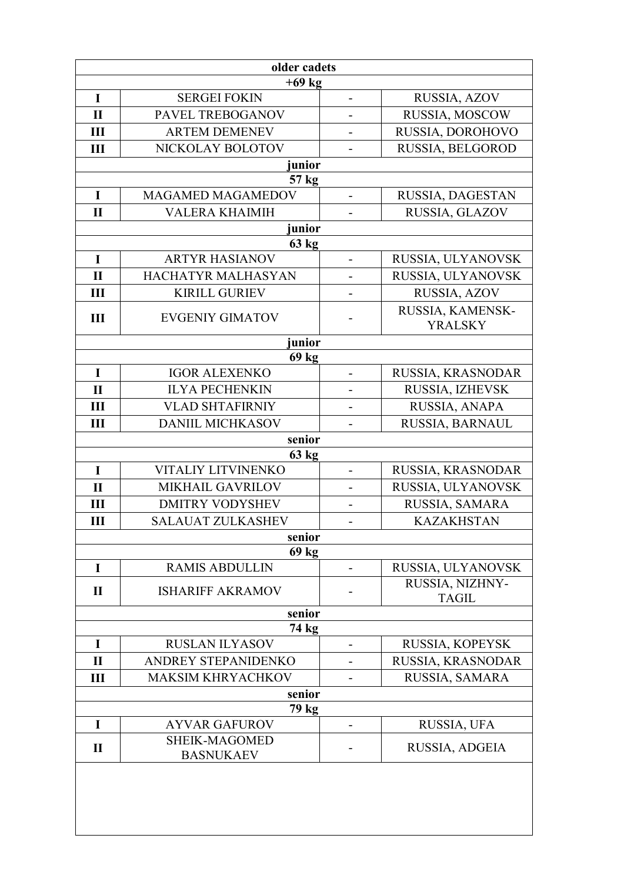| older cadets    |                                |                              |                                    |  |
|-----------------|--------------------------------|------------------------------|------------------------------------|--|
| $+69$ kg        |                                |                              |                                    |  |
| I               | <b>SERGEI FOKIN</b>            | $\overline{\phantom{0}}$     | RUSSIA, AZOV                       |  |
| $\mathbf{I}$    | PAVEL TREBOGANOV               |                              | RUSSIA, MOSCOW                     |  |
| Ш               | <b>ARTEM DEMENEV</b>           |                              | RUSSIA, DOROHOVO                   |  |
| Ш               | NICKOLAY BOLOTOV               |                              | RUSSIA, BELGOROD                   |  |
|                 | junior                         |                              |                                    |  |
|                 | 57 kg                          |                              |                                    |  |
| $\mathbf I$     | MAGAMED MAGAMEDOV              |                              | RUSSIA, DAGESTAN                   |  |
| $\mathbf{I}$    | <b>VALERA KHAIMIH</b>          |                              | RUSSIA, GLAZOV                     |  |
|                 | junior                         |                              |                                    |  |
| $\mathbf I$     | 63 kg<br><b>ARTYR HASIANOV</b> | $\overline{a}$               | RUSSIA, ULYANOVSK                  |  |
| $\mathbf{I}$    | HACHATYR MALHASYAN             |                              | RUSSIA, ULYANOVSK                  |  |
| Ш               | <b>KIRILL GURIEV</b>           | $\overline{\phantom{0}}$     | RUSSIA, AZOV                       |  |
|                 |                                |                              |                                    |  |
| Ш               | <b>EVGENIY GIMATOV</b>         |                              | RUSSIA, KAMENSK-<br><b>YRALSKY</b> |  |
|                 | junior                         |                              |                                    |  |
|                 | 69 kg                          |                              |                                    |  |
| $\mathbf I$     | <b>IGOR ALEXENKO</b>           | $\overline{a}$               | RUSSIA, KRASNODAR                  |  |
| $\mathbf{I}$    | <b>ILYA PECHENKIN</b>          |                              | RUSSIA, IZHEVSK                    |  |
| Ш               | <b>VLAD SHTAFIRNIY</b>         |                              | RUSSIA, ANAPA                      |  |
| Ш               | <b>DANIIL MICHKASOV</b>        |                              | RUSSIA, BARNAUL                    |  |
|                 | senior                         |                              |                                    |  |
| I               | 63 kg<br>VITALIY LITVINENKO    | $\overline{a}$               | RUSSIA, KRASNODAR                  |  |
| $\mathbf{I}$    | <b>MIKHAIL GAVRILOV</b>        | $\overline{\phantom{0}}$     | RUSSIA, ULYANOVSK                  |  |
| Ш               | <b>DMITRY VODYSHEV</b>         |                              | RUSSIA, SAMARA                     |  |
| Ш               | <b>SALAUAT ZULKASHEV</b>       | $\qquad \qquad \blacksquare$ | <b>KAZAKHSTAN</b>                  |  |
|                 | senior                         |                              |                                    |  |
|                 | 69 kg                          |                              |                                    |  |
| I               | <b>RAMIS ABDULLIN</b>          |                              | RUSSIA, ULYANOVSK                  |  |
| $\mathbf{I}$    | <b>ISHARIFF AKRAMOV</b>        |                              | RUSSIA, NIZHNY-                    |  |
|                 |                                |                              | <b>TAGIL</b>                       |  |
| senior<br>74 kg |                                |                              |                                    |  |
| I               | <b>RUSLAN ILYASOV</b>          | $\overline{a}$               | RUSSIA, KOPEYSK                    |  |
| $\mathbf{I}$    | ANDREY STEPANIDENKO            |                              | RUSSIA, KRASNODAR                  |  |
| Ш               | <b>MAKSIM KHRYACHKOV</b>       |                              | RUSSIA, SAMARA                     |  |
|                 | senior                         |                              |                                    |  |
| 79 kg           |                                |                              |                                    |  |
| $\bf{I}$        | <b>AYVAR GAFUROV</b>           |                              | RUSSIA, UFA                        |  |
| $\mathbf{I}$    | <b>SHEIK-MAGOMED</b>           |                              | RUSSIA, ADGEIA                     |  |
|                 | <b>BASNUKAEV</b>               |                              |                                    |  |
|                 |                                |                              |                                    |  |
|                 |                                |                              |                                    |  |
|                 |                                |                              |                                    |  |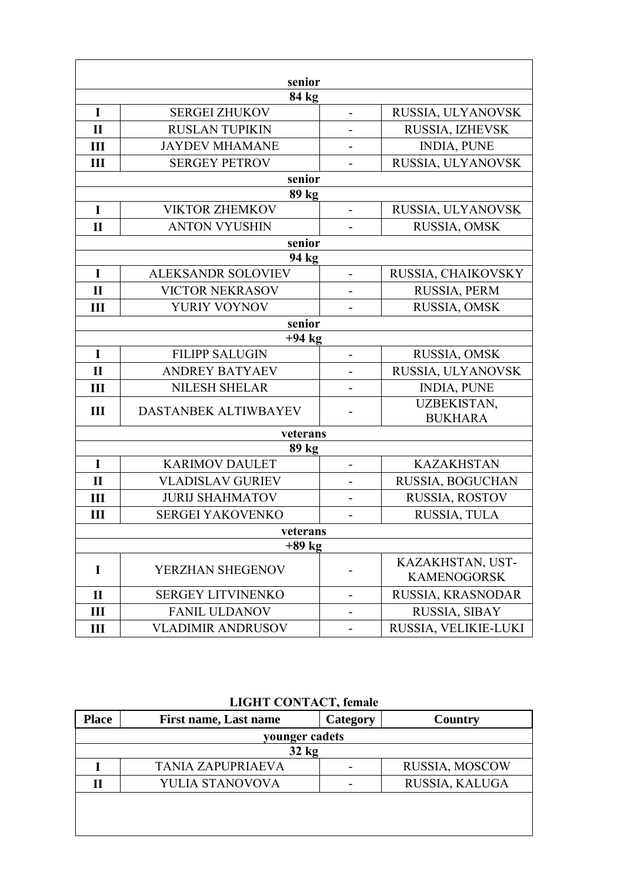| senior       |                           |                          |                                        |
|--------------|---------------------------|--------------------------|----------------------------------------|
|              | 84 kg                     |                          |                                        |
| I            | <b>SERGEI ZHUKOV</b>      | $\overline{\phantom{0}}$ | RUSSIA, ULYANOVSK                      |
| $\mathbf{I}$ | <b>RUSLAN TUPIKIN</b>     |                          | RUSSIA, IZHEVSK                        |
| Ш            | <b>JAYDEV MHAMANE</b>     |                          | <b>INDIA, PUNE</b>                     |
| Ш            | <b>SERGEY PETROV</b>      |                          | RUSSIA, ULYANOVSK                      |
|              | senior                    |                          |                                        |
|              | 89 kg                     |                          |                                        |
| $\mathbf I$  | <b>VIKTOR ZHEMKOV</b>     |                          | RUSSIA, ULYANOVSK                      |
| $\mathbf{I}$ | <b>ANTON VYUSHIN</b>      |                          | RUSSIA, OMSK                           |
|              | senior                    |                          |                                        |
|              | 94 kg                     |                          |                                        |
| $\mathbf I$  | <b>ALEKSANDR SOLOVIEV</b> |                          | RUSSIA, CHAIKOVSKY                     |
| $\mathbf{I}$ | <b>VICTOR NEKRASOV</b>    | -                        | RUSSIA, PERM                           |
| Ш            | YURIY VOYNOV              |                          | RUSSIA, OMSK                           |
| senior       |                           |                          |                                        |
|              | $+94$ kg                  |                          |                                        |
| $\mathbf I$  | <b>FILIPP SALUGIN</b>     | $\overline{a}$           | RUSSIA, OMSK                           |
| $\mathbf{I}$ | <b>ANDREY BATYAEV</b>     |                          | RUSSIA, ULYANOVSK                      |
| III          | <b>NILESH SHELAR</b>      | -                        | <b>INDIA, PUNE</b>                     |
| III          | DASTANBEK ALTIWBAYEV      |                          | <b>UZBEKISTAN,</b><br><b>BUKHARA</b>   |
| veterans     |                           |                          |                                        |
|              | 89 kg                     |                          |                                        |
| $\mathbf I$  | <b>KARIMOV DAULET</b>     | $\overline{\phantom{0}}$ | <b>KAZAKHSTAN</b>                      |
| $\mathbf{I}$ | <b>VLADISLAV GURIEV</b>   |                          | RUSSIA, BOGUCHAN                       |
| Ш            | <b>JURIJ SHAHMATOV</b>    | -                        | RUSSIA, ROSTOV                         |
| Ш            | <b>SERGEI YAKOVENKO</b>   | $\overline{a}$           | RUSSIA, TULA                           |
| veterans     |                           |                          |                                        |
| $+89$ kg     |                           |                          |                                        |
| I            | YERZHAN SHEGENOV          |                          | KAZAKHSTAN, UST-<br><b>KAMENOGORSK</b> |
| $\mathbf{I}$ | <b>SERGEY LITVINENKO</b>  | -                        | RUSSIA, KRASNODAR                      |
| Ш            | <b>FANIL ULDANOV</b>      |                          | RUSSIA, SIBAY                          |
| Ш            | <b>VLADIMIR ANDRUSOV</b>  |                          | RUSSIA, VELIKIE-LUKI                   |

**LIGHT CONTACT, female** 

| <b>Place</b>   | <b>First name, Last name</b> | Category | Country        |
|----------------|------------------------------|----------|----------------|
| younger cadets |                              |          |                |
| $32$ kg        |                              |          |                |
|                | <b>TANIA ZAPUPRIAEVA</b>     |          | RUSSIA, MOSCOW |
| Н              | YULIA STANOVOVA              |          | RUSSIA, KALUGA |
|                |                              |          |                |
|                |                              |          |                |
|                |                              |          |                |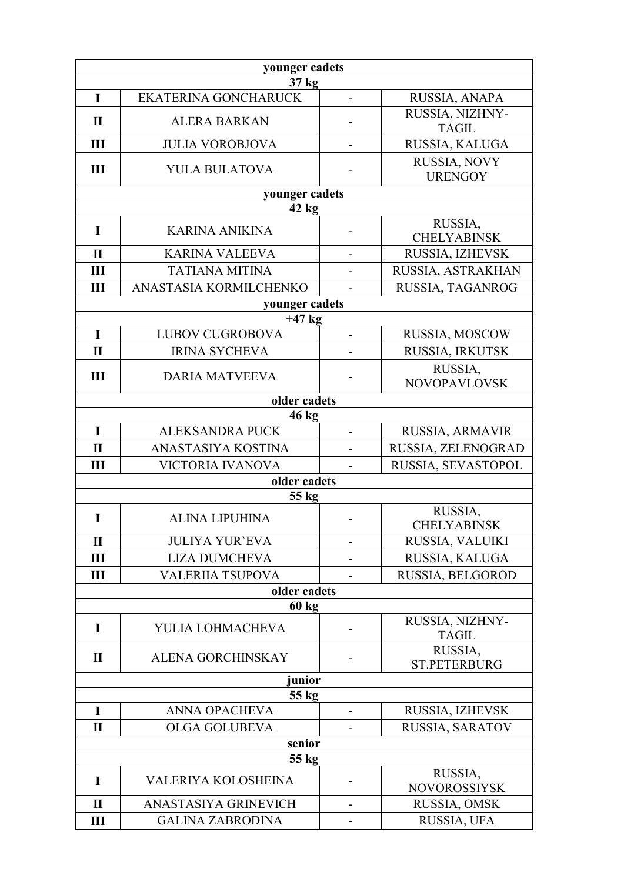| younger cadets |                             |                          |                                 |
|----------------|-----------------------------|--------------------------|---------------------------------|
|                | 37 kg                       |                          |                                 |
| I              | <b>EKATERINA GONCHARUCK</b> | $\overline{a}$           | RUSSIA, ANAPA                   |
| $\mathbf{I}$   | <b>ALERA BARKAN</b>         |                          | RUSSIA, NIZHNY-<br><b>TAGIL</b> |
| III            | <b>JULIA VOROBJOVA</b>      |                          | RUSSIA, KALUGA                  |
| III            | YULA BULATOVA               |                          | RUSSIA, NOVY<br><b>URENGOY</b>  |
|                | younger cadets              |                          |                                 |
|                | $42$ kg                     |                          |                                 |
| I              | <b>KARINA ANIKINA</b>       |                          | RUSSIA,<br><b>CHELYABINSK</b>   |
| $\mathbf{I}$   | <b>KARINA VALEEVA</b>       |                          | RUSSIA, IZHEVSK                 |
| III            | <b>TATIANA MITINA</b>       |                          | RUSSIA, ASTRAKHAN               |
| III            | ANASTASIA KORMILCHENKO      | $\overline{\phantom{a}}$ | RUSSIA, TAGANROG                |
|                | younger cadets              |                          |                                 |
|                | $+47$ kg                    |                          |                                 |
| $\bf{I}$       | <b>LUBOV CUGROBOVA</b>      |                          | RUSSIA, MOSCOW                  |
| $\mathbf{I}$   | <b>IRINA SYCHEVA</b>        |                          | RUSSIA, IRKUTSK                 |
| $\mathbf{III}$ | <b>DARIA MATVEEVA</b>       |                          | RUSSIA,<br><b>NOVOPAVLOVSK</b>  |
|                | older cadets                |                          |                                 |
|                | $46 \text{ kg}$             |                          |                                 |
| $\mathbf I$    | <b>ALEKSANDRA PUCK</b>      | $\overline{\phantom{0}}$ | RUSSIA, ARMAVIR                 |
| $\mathbf{I}$   | ANASTASIYA KOSTINA          | $\overline{a}$           | RUSSIA, ZELENOGRAD              |
| Ш              | VICTORIA IVANOVA            |                          | RUSSIA, SEVASTOPOL              |
|                | older cadets                |                          |                                 |
|                | 55 kg                       |                          |                                 |
| I              | <b>ALINA LIPUHINA</b>       |                          | RUSSIA,<br><b>CHELYABINSK</b>   |
| $\mathbf{I}$   | <b>JULIYA YUR'EVA</b>       |                          | RUSSIA, VALUIKI                 |
| Ш              | <b>LIZA DUMCHEVA</b>        |                          | RUSSIA, KALUGA                  |
| Ш              | VALERIIA TSUPOVA            |                          | RUSSIA, BELGOROD                |
| older cadets   |                             |                          |                                 |
|                | <b>60 kg</b>                |                          |                                 |
| I              | YULIA LOHMACHEVA            |                          | RUSSIA, NIZHNY-<br><b>TAGIL</b> |
| $\mathbf{I}$   | <b>ALENA GORCHINSKAY</b>    |                          | RUSSIA,<br><b>ST.PETERBURG</b>  |
| junior         |                             |                          |                                 |
| 55 kg          |                             |                          |                                 |
| I              | <b>ANNA OPACHEVA</b>        |                          | RUSSIA, IZHEVSK                 |
| $\mathbf{I}$   | <b>OLGA GOLUBEVA</b>        |                          | RUSSIA, SARATOV                 |
| senior         |                             |                          |                                 |
|                | $55$ kg                     |                          | RUSSIA,                         |
| I              | <b>VALERIYA KOLOSHEINA</b>  |                          | <b>NOVOROSSIYSK</b>             |
| $\mathbf{I}$   | ANASTASIYA GRINEVICH        | -                        | RUSSIA, OMSK                    |
| Ш              | <b>GALINA ZABRODINA</b>     |                          | RUSSIA, UFA                     |